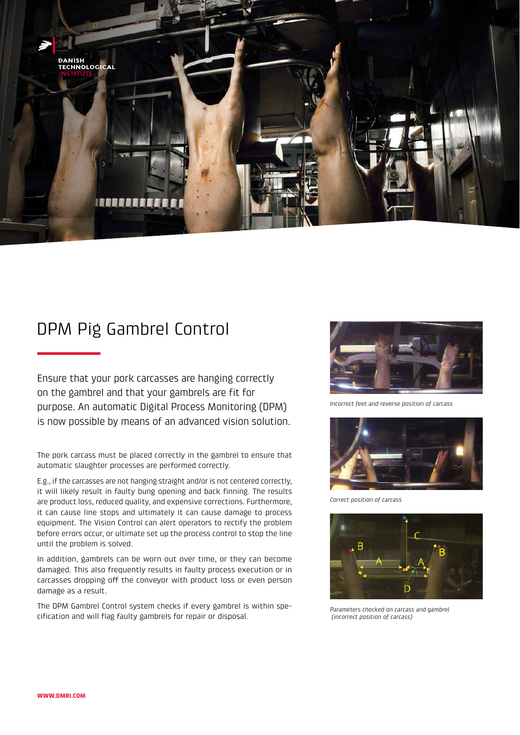

## DPM Pig Gambrel Control

Ensure that your pork carcasses are hanging correctly on the gambrel and that your gambrels are fit for purpose. An automatic Digital Process Monitoring (DPM) is now possible by means of an advanced vision solution.

The pork carcass must be placed correctly in the gambrel to ensure that automatic slaughter processes are performed correctly.

E.g., if the carcasses are not hanging straight and/or is not centered correctly, it will likely result in faulty bung opening and back finning. The results are product loss, reduced quality, and expensive corrections. Furthermore, it can cause line stops and ultimately it can cause damage to process equipment. The Vision Control can alert operators to rectify the problem before errors occur, or ultimate set up the process control to stop the line until the problem is solved.

In addition, gambrels can be worn out over time, or they can become damaged. This also frequently results in faulty process execution or in carcasses dropping off the conveyor with product loss or even person damage as a result.

The DPM Gambrel Control system checks if every gambrel is within specification and will flag faulty gambrels for repair or disposal.



*Incorrect feet and reverse position of carcass*



*Correct position of carcass* 



*Parameters checked on carcass and gambrel (incorrect position of carcass)*